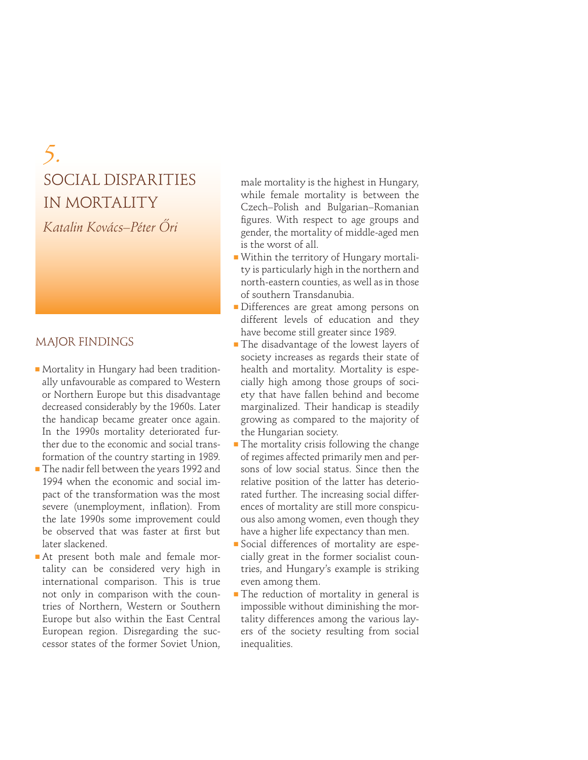# *5.* SOCIAL DISPARITIES IN MORTALITY

*Katalin Kovács–Péter Ôri*

# MAJOR FINDINGS

- Mortality in Hungary had been traditionally unfavourable as compared to Western or Northern Europe but this disadvantage decreased considerably by the 1960s. Later the handicap became greater once again. In the 1990s mortality deteriorated further due to the economic and social transformation of the country starting in 1989.
- The nadir fell between the years 1992 and 1994 when the economic and social impact of the transformation was the most severe (unemployment, inflation). From the late 1990s some improvement could be observed that was faster at first but later slackened.
- At present both male and female mortality can be considered very high in international comparison. This is true not only in comparison with the countries of Northern, Western or Southern Europe but also within the East Central European region. Disregarding the successor states of the former Soviet Union,

male mortality is the highest in Hungary, while female mortality is between the Czech–Polish and Bulgarian–Romanian figures. With respect to age groups and gender, the mortality of middle-aged men is the worst of all.

- Within the territory of Hungary mortality is particularly high in the northern and north-eastern counties, as well as in those of southern Transdanubia.
- Differences are great among persons on different levels of education and they have become still greater since 1989.
- The disadvantage of the lowest layers of society increases as regards their state of health and mortality. Mortality is especially high among those groups of society that have fallen behind and become marginalized. Their handicap is steadily growing as compared to the majority of the Hungarian society.
- The mortality crisis following the change of regimes affected primarily men and persons of low social status. Since then the relative position of the latter has deteriorated further. The increasing social differences of mortality are still more conspicuous also among women, even though they have a higher life expectancy than men.
- Social differences of mortality are especially great in the former socialist countries, and Hungary's example is striking even among them.
- **The reduction of mortality in general is** impossible without diminishing the mortality differences among the various layers of the society resulting from social inequalities.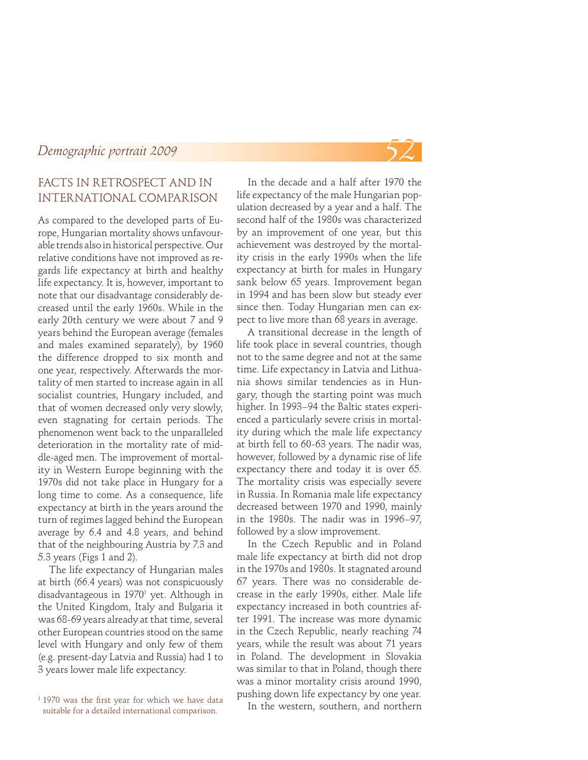#### FACTS IN RETROSPECT AND IN INTERNATIONAL COMPARISON

As compared to the developed parts of Europe, Hungarian mortality shows unfavourable trends also in historical perspective. Our relative conditions have not improved as regards life expectancy at birth and healthy life expectancy. It is, however, important to note that our disadvantage considerably decreased until the early 1960s. While in the early 20th century we were about 7 and 9 years behind the European average (females and males examined separately), by 1960 the difference dropped to six month and one year, respectively. Afterwards the mortality of men started to increase again in all socialist countries, Hungary included, and that of women decreased only very slowly, even stagnating for certain periods. The phenomenon went back to the unparalleled deterioration in the mortality rate of middle-aged men. The improvement of mortality in Western Europe beginning with the 1970s did not take place in Hungary for a long time to come. As a consequence, life expectancy at birth in the years around the turn of regimes lagged behind the European average by 6.4 and 4.8 years, and behind that of the neighbouring Austria by 7.3 and 5.3 years (Figs 1 and 2).

The life expectancy of Hungarian males at birth (66.4 years) was not conspicuously disadvantageous in 1970<sup>1</sup> yet. Although in the United Kingdom, Italy and Bulgaria it was 68-69 years already at that time, several other European countries stood on the same level with Hungary and only few of them (e.g. present-day Latvia and Russia) had 1 to 3 years lower male life expectancy.

In the decade and a half after 1970 the life expectancy of the male Hungarian population decreased by a year and a half. The second half of the 1980s was characterized by an improvement of one year, but this achievement was destroyed by the mortality crisis in the early 1990s when the life expectancy at birth for males in Hungary sank below 65 years. Improvement began in 1994 and has been slow but steady ever since then. Today Hungarian men can expect to live more than 68 years in average.

A transitional decrease in the length of life took place in several countries, though not to the same degree and not at the same time. Life expectancy in Latvia and Lithuania shows similar tendencies as in Hungary, though the starting point was much higher. In 1993–94 the Baltic states experienced a particularly severe crisis in mortality during which the male life expectancy at birth fell to 60-63 years. The nadir was, however, followed by a dynamic rise of life expectancy there and today it is over 65. The mortality crisis was especially severe in Russia. In Romania male life expectancy decreased between 1970 and 1990, mainly in the 1980s. The nadir was in 1996–97, followed by a slow improvement.

In the Czech Republic and in Poland male life expectancy at birth did not drop in the 1970s and 1980s. It stagnated around 67 years. There was no considerable decrease in the early 1990s, either. Male life expectancy increased in both countries after 1991. The increase was more dynamic in the Czech Republic, nearly reaching 74 years, while the result was about 71 years in Poland. The development in Slovakia was similar to that in Poland, though there was a minor mortality crisis around 1990, pushing down life expectancy by one year.

In the western, southern, and northern



 $11970$  was the first year for which we have data suitable for a detailed international comparison.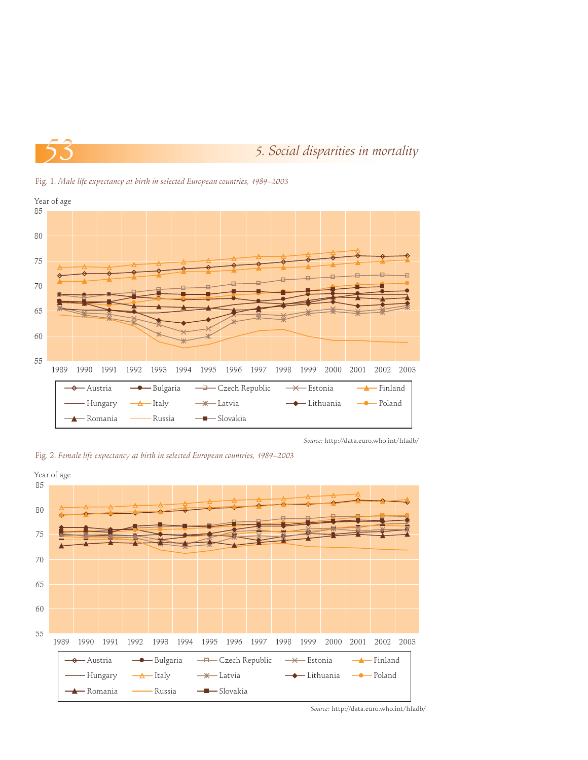



Fig. 1. *Male life expectancy at birth in selected European countries, 1989–2003*

*Source:* http://data.euro.who.int/hfadb/

Fig. 2. *Female life expectancy at birth in selected European countries, 1989–2003*

**A** Romania — Russia <sup>— 1</sup> Slovakia



*Source:* http://data.euro.who.int/hfadb/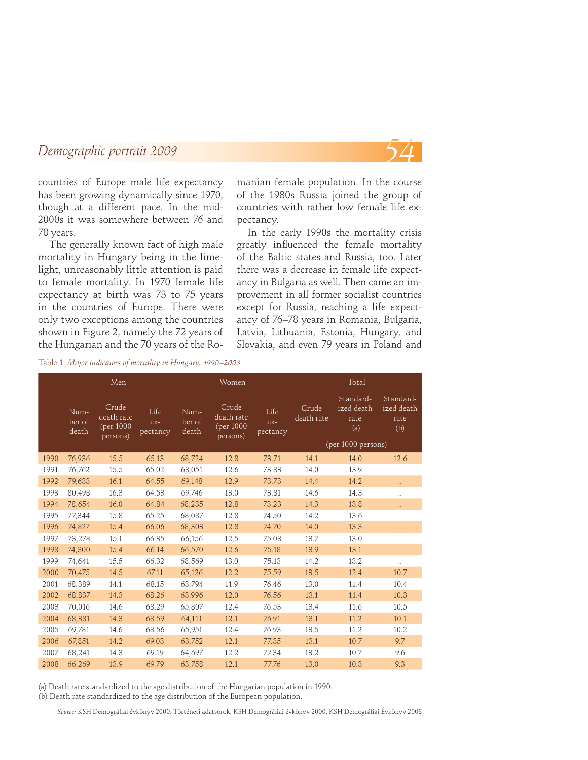

countries of Europe male life expectancy has been growing dynamically since 1970, though at a different pace. In the mid-2000s it was somewhere between 76 and 78 years.

The generally known fact of high male mortality in Hungary being in the limelight, unreasonably little attention is paid to female mortality. In 1970 female life expectancy at birth was 73 to 75 years in the countries of Europe. There were only two exceptions among the countries shown in Figure 2, namely the 72 years of the Hungarian and the 70 years of the Romanian female population. In the course of the 1980s Russia joined the group of countries with rather low female life expectancy.

In the early 1990s the mortality crisis greatly influenced the female mortality of the Baltic states and Russia, too. Later there was a decrease in female life expectancy in Bulgaria as well. Then came an improvement in all former socialist countries except for Russia, reaching a life expectancy of 76–78 years in Romania, Bulgaria, Latvia, Lithuania, Estonia, Hungary, and Slovakia, and even 79 years in Poland and

Table 1. *Major indicators of mortality in Hungary, 1990–2008*

|      |                         | Men                                            |                         |                         | Women                                        |                         |                     | Total                                  |                                        |  |
|------|-------------------------|------------------------------------------------|-------------------------|-------------------------|----------------------------------------------|-------------------------|---------------------|----------------------------------------|----------------------------------------|--|
|      | Num-<br>ber of<br>death | Crude<br>death rate<br>(per $1000$<br>persons) | Life<br>ex-<br>pectancy | Num-<br>ber of<br>death | Crude<br>death rate<br>(per 1000<br>persons) | Life<br>ex-<br>pectancy | Crude<br>death rate | Standard-<br>ized death<br>rate<br>(a) | Standard-<br>ized death<br>rate<br>(b) |  |
|      |                         |                                                |                         |                         |                                              |                         | (per 1000 persons)  |                                        |                                        |  |
| 1990 | 76,936                  | 15.5                                           | 65.13                   | 68,724                  | 12.8                                         | 73.71                   | 14.1                | 14.0                                   | 12.6                                   |  |
| 1991 | 76,762                  | 15.5                                           | 65.02                   | 68,051                  | 12.6                                         | 73.83                   | 14.0                | 13.9                                   | $\ddotsc$                              |  |
| 1992 | 79,633                  | 16.1                                           | 64.55                   | 69,148                  | 12.9                                         | 73.73                   | 14.4                | 14.2                                   | Ω,                                     |  |
| 1993 | 80,498                  | 16.3                                           | 64.53                   | 69,746                  | 13.0                                         | 73.81                   | 14.6                | 14.3                                   | $\ddotsc$                              |  |
| 1994 | 78,654                  | 16.0                                           | 64.84                   | 68,235                  | 12.8                                         | 73.23                   | 14.3                | 13.8                                   | Ω,                                     |  |
| 1995 | 77,344                  | 15.8                                           | 65.25                   | 68,087                  | 12.8                                         | 74.50                   | 14.2                | 13.6                                   |                                        |  |
| 1996 | 74,827                  | 15.4                                           | 66.06                   | 68,303                  | 12.8                                         | 74.70                   | 14.0                | 13.3                                   | Ω,                                     |  |
| 1997 | 73,278                  | 15.1                                           | 66.35                   | 66,156                  | 12.5                                         | 75.08                   | 13.7                | 13.0                                   |                                        |  |
| 1998 | 74,300                  | 15.4                                           | 66.14                   | 66,570                  | 12.6                                         | 75.18                   | 13.9                | 13.1                                   | Ω,                                     |  |
| 1999 | 74,641                  | 15.5                                           | 66.32                   | 68,569                  | 13.0                                         | 75.13                   | 14.2                | 13.2                                   | Ω.                                     |  |
| 2000 | 70,475                  | 14.5                                           | 67.11                   | 65,126                  | 12.2                                         | 75.59                   | 13.5                | 12.4                                   | 10.7                                   |  |
| 2001 | 68,389                  | 14.1                                           | 68.15                   | 63,794                  | 11.9                                         | 76.46                   | 13.0                | 11.4                                   | 10.4                                   |  |
| 2002 | 68,837                  | 14.3                                           | 68.26                   | 63,996                  | 12.0                                         | 76.56                   | 13.1                | 11.4                                   | 10.3                                   |  |
| 2003 | 70,016                  | 14.6                                           | 68.29                   | 65,807                  | 12.4                                         | 76.53                   | 13.4                | 11.6                                   | 10.5                                   |  |
| 2004 | 68,381                  | 14.3                                           | 68.59                   | 64,111                  | 12.1                                         | 76.91                   | 13.1                | 11.2                                   | 10.1                                   |  |
| 2005 | 69,781                  | 14.6                                           | 68.56                   | 65,951                  | 12.4                                         | 76.93                   | 13.5                | 11.2                                   | 10.2                                   |  |
| 2006 | 67,851                  | 14.2                                           | 69.03                   | 63,752                  | 12.1                                         | 77.35                   | 13.1                | 10.7                                   | 9.7                                    |  |
| 2007 | 68,241                  | 14.3                                           | 69.19                   | 64,697                  | 12.2                                         | 77.34                   | 13.2                | 10.7                                   | 9.6                                    |  |
| 2008 | 66,269                  | 13.9                                           | 69.79                   | 63,758                  | 12.1                                         | 77.76                   | 13.0                | 10.3                                   | 9.3                                    |  |

(a) Death rate standardized to the age distribution of the Hungarian population in 1990.

(b) Death rate standardized to the age distribution of the European population.

Source: KSH Demográfiai évkönyv 2000. Történeti adatsorok, KSH Demográfiai évkönyv 2000, KSH Demográfiai Évkönyv 2008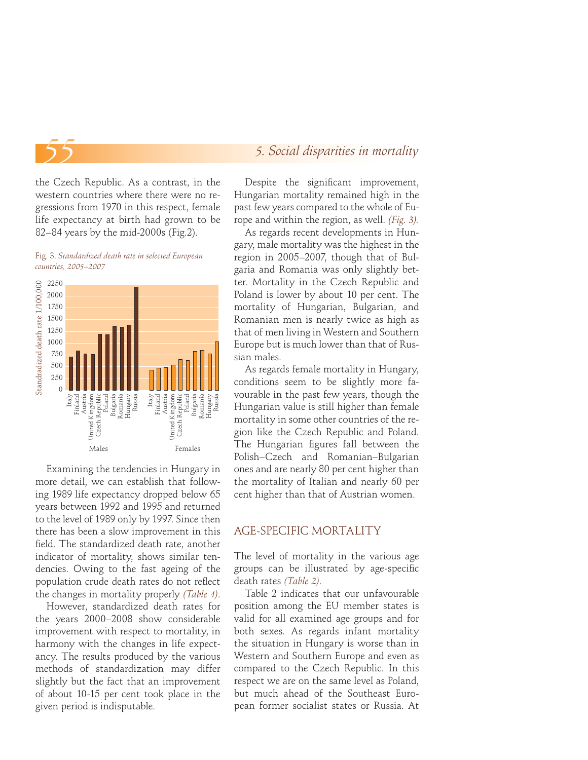the Czech Republic. As a contrast, in the western countries where there were no regressions from 1970 in this respect, female life expectancy at birth had grown to be 82–84 years by the mid-2000s (Fig.2).

Fig. 3. *Standardized death rate in selected European countries, 2005–2007*



Examining the tendencies in Hungary in more detail, we can establish that following 1989 life expectancy dropped below 65 years between 1992 and 1995 and returned to the level of 1989 only by 1997. Since then there has been a slow improvement in this field. The standardized death rate, another indicator of mortality, shows similar tendencies. Owing to the fast ageing of the population crude death rates do not reflect the changes in mortality properly *(Table 1)*.

However, standardized death rates for the years 2000–2008 show considerable improvement with respect to mortality, in harmony with the changes in life expectancy. The results produced by the various methods of standardization may differ slightly but the fact that an improvement of about 10-15 per cent took place in the given period is indisputable.

#### *5. Social disparities in mortality*

Despite the significant improvement, Hungarian mortality remained high in the past few years compared to the whole of Europe and within the region, as well. *(Fig. 3).*

As regards recent developments in Hungary, male mortality was the highest in the region in 2005–2007, though that of Bulgaria and Romania was only slightly better. Mortality in the Czech Republic and Poland is lower by about 10 per cent. The mortality of Hungarian, Bulgarian, and Romanian men is nearly twice as high as that of men living in Western and Southern Europe but is much lower than that of Russian males.

As regards female mortality in Hungary, conditions seem to be slightly more favourable in the past few years, though the Hungarian value is still higher than female mortality in some other countries of the region like the Czech Republic and Poland. The Hungarian figures fall between the Polish–Czech and Romanian–Bulgarian ones and are nearly 80 per cent higher than the mortality of Italian and nearly 60 per cent higher than that of Austrian women.

#### AGE-SPECIFIC MORTALITY

The level of mortality in the various age groups can be illustrated by age-specific death rates *(Table 2)*.

Table 2 indicates that our unfavourable position among the EU member states is valid for all examined age groups and for both sexes. As regards infant mortality the situation in Hungary is worse than in Western and Southern Europe and even as compared to the Czech Republic. In this respect we are on the same level as Poland, but much ahead of the Southeast European former socialist states or Russia. At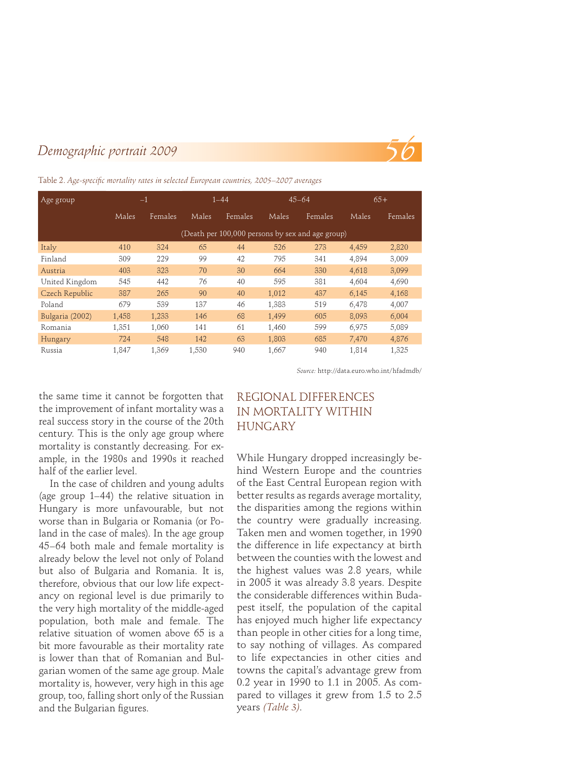

| Age group       | $-1$  |         | $1 - 44$ |         | $45 - 64$ |                                                  | $65+$ |         |
|-----------------|-------|---------|----------|---------|-----------|--------------------------------------------------|-------|---------|
|                 | Males | Females | Males    | Females | Males     | Females                                          | Males | Females |
|                 |       |         |          |         |           | (Death per 100,000 persons by sex and age group) |       |         |
| Italy           | 410   | 324     | 65       | 44      | 526       | 273                                              | 4.459 | 2,820   |
| Finland         | 309   | 229     | 99       | 42      | 795       | 341                                              | 4.894 | 3,009   |
| Austria         | 403   | 323     | 70       | 30      | 664       | 330                                              | 4.618 | 3,099   |
| United Kingdom  | 545   | 442     | 76       | 40      | 595       | 381                                              | 4.604 | 4,690   |
| Czech Republic  | 387   | 265     | 90       | 40      | 1.012     | 437                                              | 6.145 | 4,168   |
| Poland          | 679   | 539     | 137      | 46      | 1.383     | 519                                              | 6,478 | 4,007   |
| Bulgaria (2002) | 1,458 | 1.233   | 146      | 68      | 1,499     | 605                                              | 8.093 | 6,004   |
| Romania         | 1,351 | 1.060   | 141      | 61      | 1.460     | 599                                              | 6.975 | 5,089   |
| <b>Hungary</b>  | 724   | 548     | 142      | 63      | 1,803     | 685                                              | 7.470 | 4,876   |
| Russia          | 1,847 | 1.369   | 1,530    | 940     | 1,667     | 940                                              | 1,814 | 1,325   |

Table 2. Age-specific mortality rates in selected European countries, 2005–2007 averages

*Source:* http://data.euro.who.int/hfadmdb/

the same time it cannot be forgotten that the improvement of infant mortality was a real success story in the course of the 20th century. This is the only age group where mortality is constantly decreasing. For example, in the 1980s and 1990s it reached half of the earlier level.

In the case of children and young adults (age group 1–44) the relative situation in Hungary is more unfavourable, but not worse than in Bulgaria or Romania (or Poland in the case of males). In the age group 45–64 both male and female mortality is already below the level not only of Poland but also of Bulgaria and Romania. It is, therefore, obvious that our low life expectancy on regional level is due primarily to the very high mortality of the middle-aged population, both male and female. The relative situation of women above 65 is a bit more favourable as their mortality rate is lower than that of Romanian and Bulgarian women of the same age group. Male mortality is, however, very high in this age group, too, falling short only of the Russian and the Bulgarian figures.

# REGIONAL DIFFERENCES IN MORTALITY WITHIN HUNGARY

While Hungary dropped increasingly behind Western Europe and the countries of the East Central European region with better results as regards average mortality, the disparities among the regions within the country were gradually increasing. Taken men and women together, in 1990 the difference in life expectancy at birth between the counties with the lowest and the highest values was 2.8 years, while in 2005 it was already 3.8 years. Despite the considerable differences within Budapest itself, the population of the capital has enjoyed much higher life expectancy than people in other cities for a long time, to say nothing of villages. As compared to life expectancies in other cities and towns the capital's advantage grew from 0.2 year in 1990 to 1.1 in 2005. As compared to villages it grew from 1.5 to 2.5 years *(Table 3)*.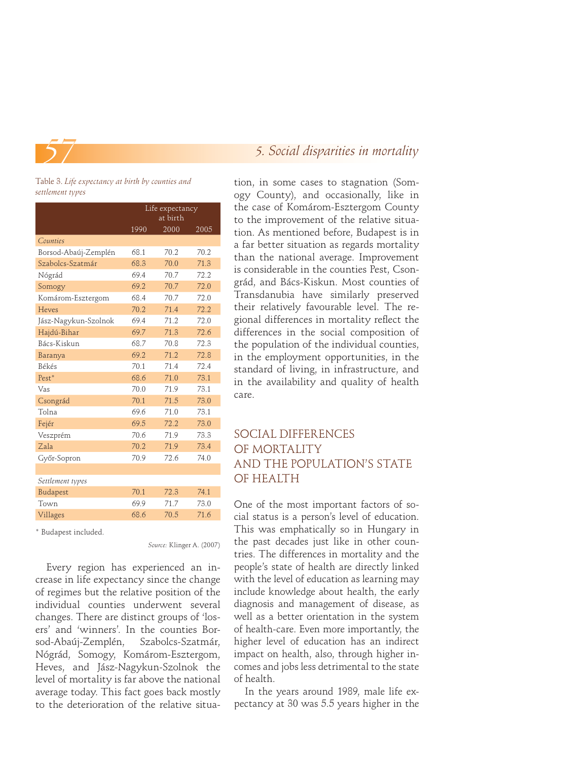

#### Table 3. *Life expectancy at birth by counties and settlement types*

|                      | Life expectancy<br>at birth |      |      |  |  |
|----------------------|-----------------------------|------|------|--|--|
|                      | 1990                        | 2000 | 2005 |  |  |
| Counties             |                             |      |      |  |  |
| Borsod-Abaúj-Zemplén | 681                         | 70.2 | 70.2 |  |  |
| Szabolcs-Szatmár     | 68.3                        | 70.0 | 71.3 |  |  |
| Nógrád               | 69.4                        | 70.7 | 72.2 |  |  |
| Somogy               | 69.2                        | 70.7 | 72.0 |  |  |
| Komárom-Esztergom    | 68.4                        | 70.7 | 72.0 |  |  |
| Heves                | 70.2                        | 71.4 | 72.2 |  |  |
| Jász-Nagykun-Szolnok | 69.4                        | 71.2 | 72.0 |  |  |
| Hajdú-Bihar          | 69.7                        | 71.3 | 72.6 |  |  |
| Bács-Kiskun          | 68.7                        | 70.8 | 72.3 |  |  |
| Baranya              | 69.2                        | 71.2 | 72.8 |  |  |
| <b>Békés</b>         | 70.1                        | 71.4 | 72.4 |  |  |
| $Pest*$              | 68.6                        | 71.0 | 73.1 |  |  |
| Vas                  | 70.0                        | 71.9 | 731  |  |  |
| Csongrád             | 70.1                        | 71.5 | 73.0 |  |  |
| Tolna                | 69.6                        | 71.0 | 73.1 |  |  |
| Fejér                | 69.5                        | 72.2 | 73.0 |  |  |
| Veszprém             | 70.6                        | 71.9 | 73.3 |  |  |
| Zala                 | 70.2                        | 71.9 | 73.4 |  |  |
| Győr-Sopron          | 70.9                        | 72.6 | 74.0 |  |  |
|                      |                             |      |      |  |  |
| Settlement types     |                             |      |      |  |  |
| Budapest             | 70.1                        | 72.3 | 74.1 |  |  |
| Town                 | 69.9                        | 71.7 | 73.0 |  |  |
| Villages             | 68.6                        | 70.5 | 71.6 |  |  |
|                      |                             |      |      |  |  |

\* Budapest included.

*Source:* Klinger A. (2007)

Every region has experienced an increase in life expectancy since the change of regimes but the relative position of the individual counties underwent several changes. There are distinct groups of 'losers' and 'winners'. In the counties Borsod-Abaúj-Zemplén, Szabolcs-Szatmár, Nógrád, Somogy, Komárom-Esztergom, Heves, and Jász-Nagykun-Szolnok the level of mortality is far above the national average today. This fact goes back mostly to the deterioration of the relative situa-

# *5. Social disparities in mortality*

tion, in some cases to stagnation (Somogy County), and occasionally, like in the case of Komárom-Esztergom County to the improvement of the relative situation. As mentioned before, Budapest is in a far better situation as regards mortality than the national average. Improvement is considerable in the counties Pest, Csongrád, and Bács-Kiskun. Most counties of Transdanubia have similarly preserved their relatively favourable level. The regional differences in mortality reflect the differences in the social composition of the population of the individual counties, in the employment opportunities, in the standard of living, in infrastructure, and in the availability and quality of health care.

# SOCIAL DIFFERENCES OF MORTALITY AND THE POPULATION'S STATE OF HEALTH

One of the most important factors of social status is a person's level of education. This was emphatically so in Hungary in the past decades just like in other countries. The differences in mortality and the people's state of health are directly linked with the level of education as learning may include knowledge about health, the early diagnosis and management of disease, as well as a better orientation in the system of health-care. Even more importantly, the higher level of education has an indirect impact on health, also, through higher incomes and jobs less detrimental to the state of health.

In the years around 1989, male life expectancy at 30 was 5.5 years higher in the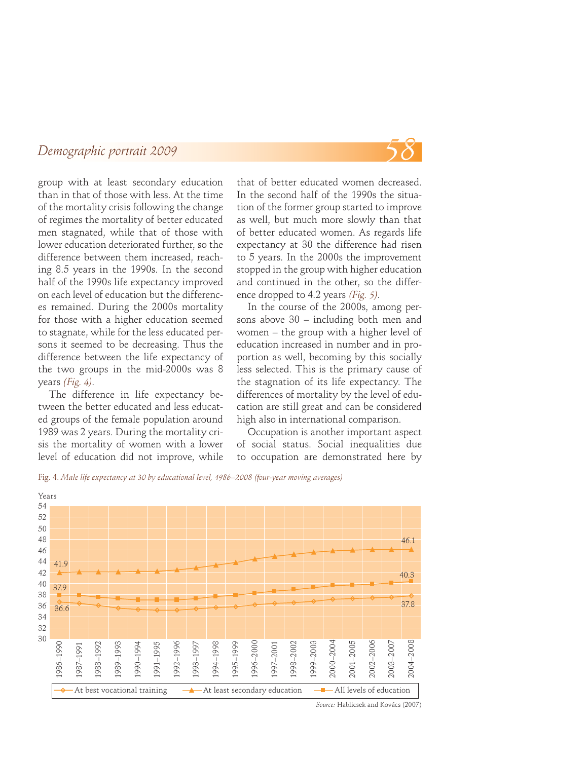

group with at least secondary education than in that of those with less. At the time of the mortality crisis following the change of regimes the mortality of better educated men stagnated, while that of those with lower education deteriorated further, so the difference between them increased, reaching 8.5 years in the 1990s. In the second half of the 1990s life expectancy improved on each level of education but the differences remained. During the 2000s mortality for those with a higher education seemed to stagnate, while for the less educated persons it seemed to be decreasing. Thus the difference between the life expectancy of the two groups in the mid-2000s was 8 years *(Fig. 4)*.

The difference in life expectancy between the better educated and less educated groups of the female population around 1989 was 2 years. During the mortality crisis the mortality of women with a lower level of education did not improve, while that of better educated women decreased. In the second half of the 1990s the situation of the former group started to improve as well, but much more slowly than that of better educated women. As regards life expectancy at 30 the difference had risen to 5 years. In the 2000s the improvement stopped in the group with higher education and continued in the other, so the difference dropped to 4.2 years *(Fig. 5)*.

In the course of the 2000s, among persons above 30 – including both men and women – the group with a higher level of education increased in number and in proportion as well, becoming by this socially less selected. This is the primary cause of the stagnation of its life expectancy. The differences of mortality by the level of education are still great and can be considered high also in international comparison.

Occupation is another important aspect of social status. Social inequalities due to occupation are demonstrated here by

Fig. 4. *Male life expectancy at 30 by educational level, 1986–2008 (four-year moving averages)*



*Source:* Hablicsek and Kovács (2007)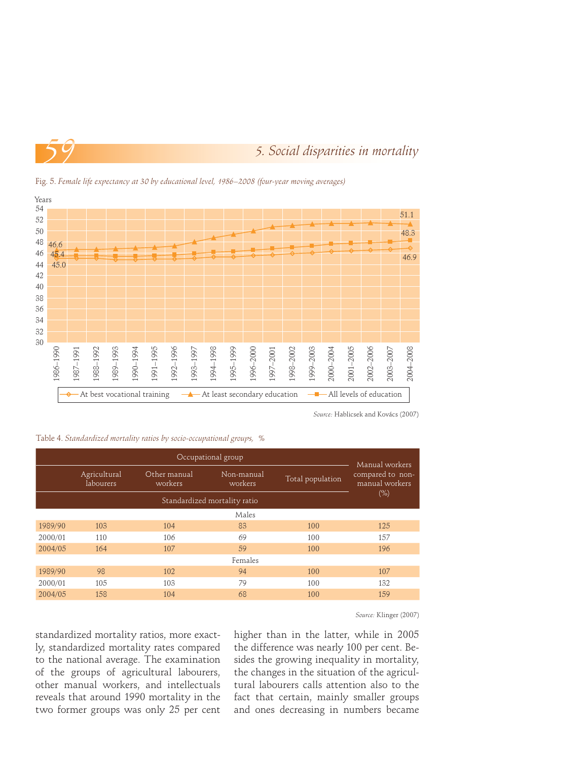



Fig. 5. *Female life expectancy at 30 by educational level, 1986–2008 (four-year moving averages)*

*Source:* Hablicsek and Kovács (2007)

| Table 4. Standardized mortality ratios by socio-occupational groups, % |  |  |  |
|------------------------------------------------------------------------|--|--|--|
|------------------------------------------------------------------------|--|--|--|

|         | Manual workers            |                                                  |       |                  |                                    |  |  |  |
|---------|---------------------------|--------------------------------------------------|-------|------------------|------------------------------------|--|--|--|
|         | Agricultural<br>labourers | Other manual<br>Non-manual<br>workers<br>workers |       | Total population | compared to non-<br>manual workers |  |  |  |
|         | $(\% )$                   |                                                  |       |                  |                                    |  |  |  |
|         |                           |                                                  | Males |                  |                                    |  |  |  |
| 1989/90 | 103                       | 104                                              | 83    | 100              | 125                                |  |  |  |
| 2000/01 | 110                       | 106                                              | 69    | 100              | 157                                |  |  |  |
| 2004/05 | 164                       | 107                                              | 59    | 100              | 196                                |  |  |  |
| Females |                           |                                                  |       |                  |                                    |  |  |  |
| 1989/90 | 98                        | 102                                              | 94    | 100              | 107                                |  |  |  |
| 2000/01 | 105                       | 103                                              | 79    | 100              | 132                                |  |  |  |
| 2004/05 | 158                       | 104                                              | 68    | 100              | 159                                |  |  |  |

*Source:* Klinger (2007)

standardized mortality ratios, more exactly, standardized mortality rates compared to the national average. The examination of the groups of agricultural labourers, other manual workers, and intellectuals reveals that around 1990 mortality in the two former groups was only 25 per cent

higher than in the latter, while in 2005 the difference was nearly 100 per cent. Besides the growing inequality in mortality, the changes in the situation of the agricultural labourers calls attention also to the fact that certain, mainly smaller groups and ones decreasing in numbers became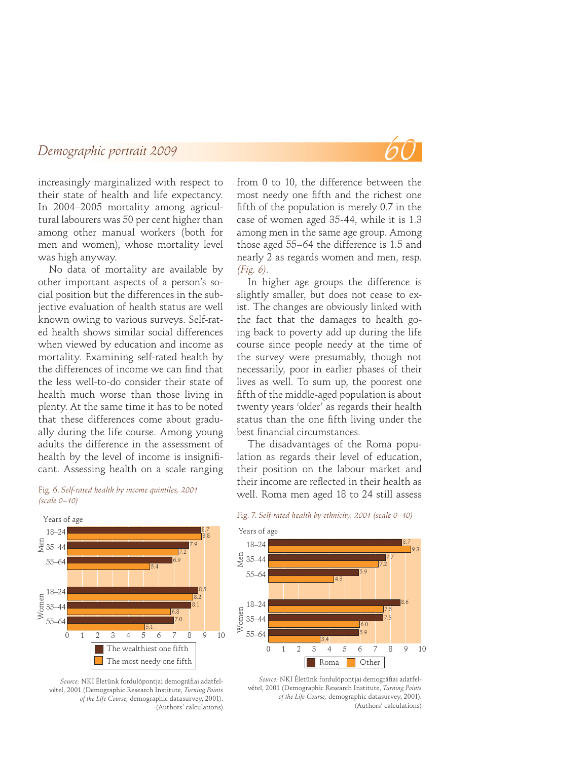

increasingly marginalized with respect to their state of health and life expectancy. In 2004–2005 mortality among agricultural labourers was 50 per cent higher than among other manual workers (both for men and women), whose mortality level was high anyway.

No data of mortality are available by other important aspects of a person's social position but the differences in the subjective evaluation of health status are well known owing to various surveys. Self-rated health shows similar social differences when viewed by education and income as mortality. Examining self-rated health by the differences of income we can find that the less well-to-do consider their state of health much worse than those living in plenty. At the same time it has to be noted that these differences come about gradually during the life course. Among young adults the difference in the assessment of health by the level of income is insignificant. Assessing health on a scale ranging



*(scale 0–10)*

Source: NKI Életünk fordulópontjai demográfiai adatfelvétel, 2001 (Demographic Research Institute, *Turning Points of the Life Course,* demographic datasurvey, 2001). (Authors' calculations)

from 0 to 10, the difference between the most needy one fifth and the richest one fifth of the population is merely 0.7 in the case of women aged 35-44, while it is 1.3 among men in the same age group. Among those aged 55–64 the difference is 1.5 and nearly 2 as regards women and men, resp. *(Fig. 6)*.

In higher age groups the difference is slightly smaller, but does not cease to exist. The changes are obviously linked with the fact that the damages to health going back to poverty add up during the life course since people needy at the time of the survey were presumably, though not necessarily, poor in earlier phases of their lives as well. To sum up, the poorest one fifth of the middle-aged population is about twenty years 'older' as regards their health status than the one fifth living under the best financial circumstances.

The disadvantages of the Roma population as regards their level of education, their position on the labour market and their income are reflected in their health as Fig. 6. Self-rated health by income quintiles, 2001 well. Roma men aged 18 to 24 still assess





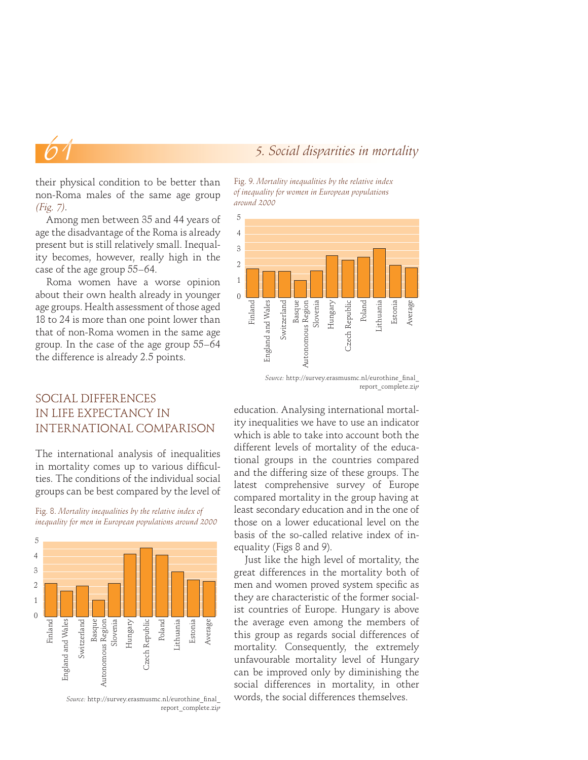#### *5. Social disparities in mortality*

their physical condition to be better than non-Roma males of the same age group *(Fig. 7)*.

Among men between 35 and 44 years of age the disadvantage of the Roma is already present but is still relatively small. Inequality becomes, however, really high in the case of the age group 55–64.

Roma women have a worse opinion about their own health already in younger age groups. Health assessment of those aged 18 to 24 is more than one point lower than that of non-Roma women in the same age group. In the case of the age group 55–64 the difference is already 2.5 points.

# SOCIAL DIFFERENCES IN LIFE EXPECTANCY IN INTERNATIONAL COMPARISON

The international analysis of inequalities in mortality comes up to various difficulties. The conditions of the individual social groups can be best compared by the level of

Fig. 8. *Mortality inequalities by the relative index of inequality for men in European populations around 2000*



Source: http://survey.erasmusmc.nl/eurothine\_final report\_complete.zi*p*





report\_complete.zi*p*

education. Analysing international mortality inequalities we have to use an indicator which is able to take into account both the different levels of mortality of the educational groups in the countries compared and the differing size of these groups. The latest comprehensive survey of Europe compared mortality in the group having at least secondary education and in the one of those on a lower educational level on the basis of the so-called relative index of inequality (Figs 8 and 9).

Just like the high level of mortality, the great differences in the mortality both of men and women proved system specific as they are characteristic of the former socialist countries of Europe. Hungary is above the average even among the members of this group as regards social differences of mortality. Consequently, the extremely unfavourable mortality level of Hungary can be improved only by diminishing the social differences in mortality, in other words, the social differences themselves.